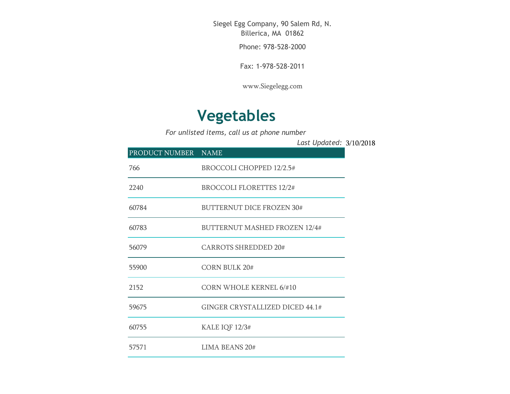Siegel Egg Company, 90 Salem Rd, N. Billerica, MA 01862

Phone: 978-528-2000

Fax: 1-978-528-2011

[www.Siegelegg.com](http://www.siegelegg.com/)

## **Vegetables**

*For unlisted items, call us at phone number*

3/10/2018 *Last Updated:*

| PRODUCT NUMBER NAME |                                      |
|---------------------|--------------------------------------|
| 766                 | <b>BROCCOLI CHOPPED 12/2.5#</b>      |
| 2240                | <b>BROCCOLI FLORETTES 12/2#</b>      |
| 60784               | <b>BUTTERNUT DICE FROZEN 30#</b>     |
| 60783               | <b>BUTTERNUT MASHED FROZEN 12/4#</b> |
| 56079               | <b>CARROTS SHREDDED 20#</b>          |
| 55900               | <b>CORN BULK 20#</b>                 |
| 2152                | <b>CORN WHOLE KERNEL 6/#10</b>       |
| 59675               | GINGER CRYSTALLIZED DICED 44.1#      |
| 60755               | KALE IQF 12/3#                       |
| 57571               | <b>LIMA BEANS 20#</b>                |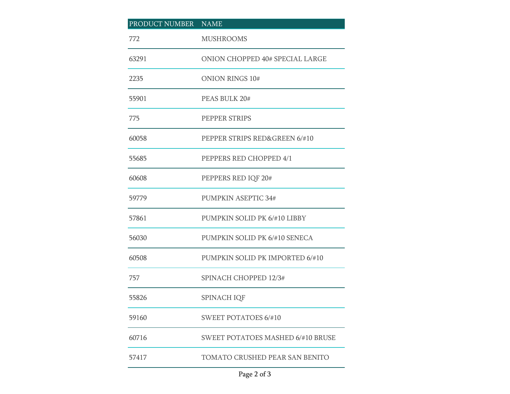| PRODUCT NUMBER NAME |                                          |
|---------------------|------------------------------------------|
| 772                 | <b>MUSHROOMS</b>                         |
| 63291               | ONION CHOPPED 40# SPECIAL LARGE          |
| 2235                | <b>ONION RINGS 10#</b>                   |
| 55901               | PEAS BULK 20#                            |
| 775                 | PEPPER STRIPS                            |
| 60058               | PEPPER STRIPS RED&GREEN 6/#10            |
| 55685               | PEPPERS RED CHOPPED 4/1                  |
| 60608               | PEPPERS RED IQF 20#                      |
| 59779               | PUMPKIN ASEPTIC 34#                      |
| 57861               | PUMPKIN SOLID PK 6/#10 LIBBY             |
| 56030               | PUMPKIN SOLID PK 6/#10 SENECA            |
| 60508               | PUMPKIN SOLID PK IMPORTED 6/#10          |
| 757                 | SPINACH CHOPPED 12/3#                    |
| 55826               | SPINACH IQF                              |
| 59160               | <b>SWEET POTATOES 6/#10</b>              |
| 60716               | <b>SWEET POTATOES MASHED 6/#10 BRUSE</b> |
| 57417               | TOMATO CRUSHED PEAR SAN BENITO           |